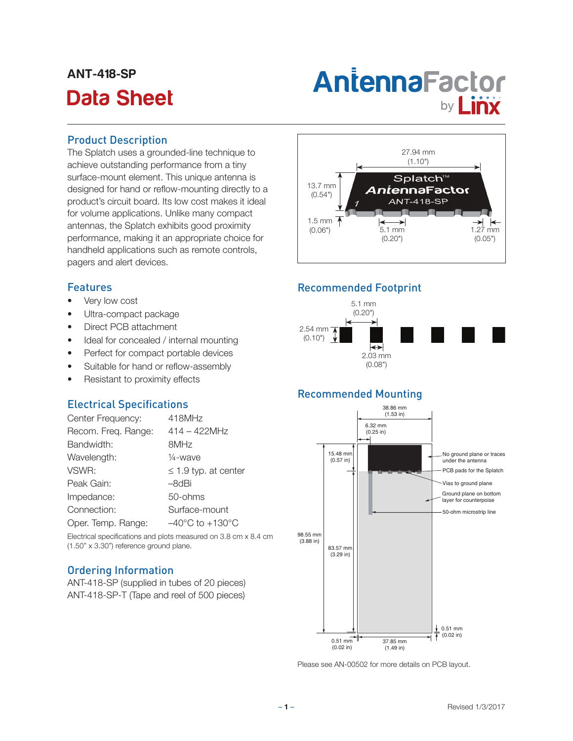## ANT-418-SP

# Antenna Factor<br>Data Sheet **by Linx**

#### Product Description

The Splatch uses a grounded-line technique to achieve outstanding performance from a tiny surface-mount element. This unique antenna is designed for hand or reflow-mounting directly to a product's circuit board. Its low cost makes it ideal for volume applications. Unlike many compact antennas, the Splatch exhibits good proximity performance, making it an appropriate choice for handheld applications such as remote controls, pagers and alert devices.

#### Features

- Very low cost
- Ultra-compact package
- Direct PCB attachment
- Ideal for concealed / internal mounting
- Perfect for compact portable devices
- Suitable for hand or reflow-assembly
- Resistant to proximity effects

#### Electrical Specifications

| Center Frequency:   | 418MHz                              |
|---------------------|-------------------------------------|
| Recom. Freq. Range: | $414 - 422$ MHz                     |
| Bandwidth:          | 8MHz                                |
| Wavelength:         | $\frac{1}{4}$ -wave                 |
| VSWR:               | $\leq$ 1.9 typ. at center           |
| Peak Gain:          | –8dBi                               |
| Impedance:          | 50-ohms                             |
| Connection:         | Surface-mount                       |
| Oper. Temp. Range:  | $-40^{\circ}$ C to $+130^{\circ}$ C |

Electrical specifications and plots measured on 3.8 cm x 8.4 cm (1.50" x 3.30") reference ground plane.

#### Ordering Information

ANT-418-SP (supplied in tubes of 20 pieces) ANT-418-SP-T (Tape and reel of 500 pieces)



#### Recommended Footprint



#### Recommended Mounting



Please see AN-00502 for more details on PCB layout.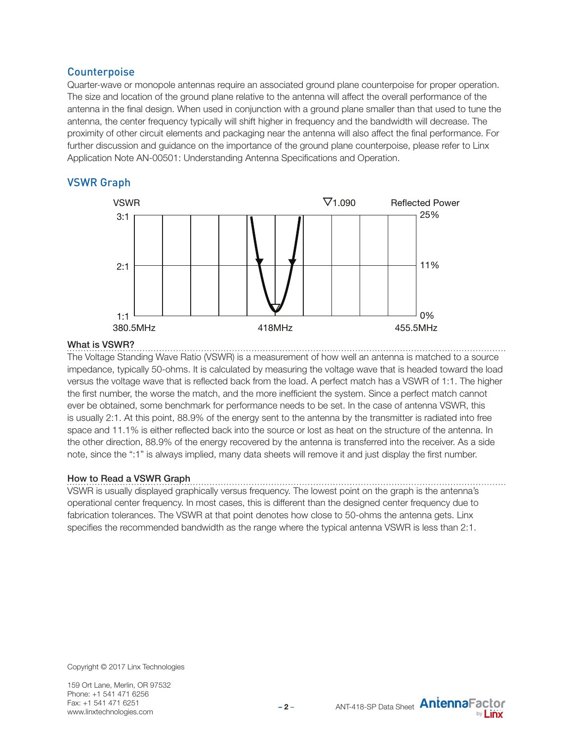#### **Counterpoise**

Quarter-wave or monopole antennas require an associated ground plane counterpoise for proper operation. The size and location of the ground plane relative to the antenna will affect the overall performance of the antenna in the final design. When used in conjunction with a ground plane smaller than that used to tune the antenna, the center frequency typically will shift higher in frequency and the bandwidth will decrease. The proximity of other circuit elements and packaging near the antenna will also affect the final performance. For further discussion and guidance on the importance of the ground plane counterpoise, please refer to Linx Application Note AN-00501: Understanding Antenna Specifications and Operation.

#### VSWR Graph



#### What is VSWR?

The Voltage Standing Wave Ratio (VSWR) is a measurement of how well an antenna is matched to a source impedance, typically 50-ohms. It is calculated by measuring the voltage wave that is headed toward the load versus the voltage wave that is reflected back from the load. A perfect match has a VSWR of 1:1. The higher the first number, the worse the match, and the more inefficient the system. Since a perfect match cannot ever be obtained, some benchmark for performance needs to be set. In the case of antenna VSWR, this is usually 2:1. At this point, 88.9% of the energy sent to the antenna by the transmitter is radiated into free space and 11.1% is either reflected back into the source or lost as heat on the structure of the antenna. In the other direction, 88.9% of the energy recovered by the antenna is transferred into the receiver. As a side note, since the ":1" is always implied, many data sheets will remove it and just display the first number.

#### How to Read a VSWR Graph

VSWR is usually displayed graphically versus frequency. The lowest point on the graph is the antenna's operational center frequency. In most cases, this is different than the designed center frequency due to fabrication tolerances. The VSWR at that point denotes how close to 50-ohms the antenna gets. Linx specifies the recommended bandwidth as the range where the typical antenna VSWR is less than 2:1.

Copyright © 2017 Linx Technologies

159 Ort Lane, Merlin, OR 97532 Phone: +1 541 471 6256 Fax: +1 541 471 6251 www.linxtechnologies.com